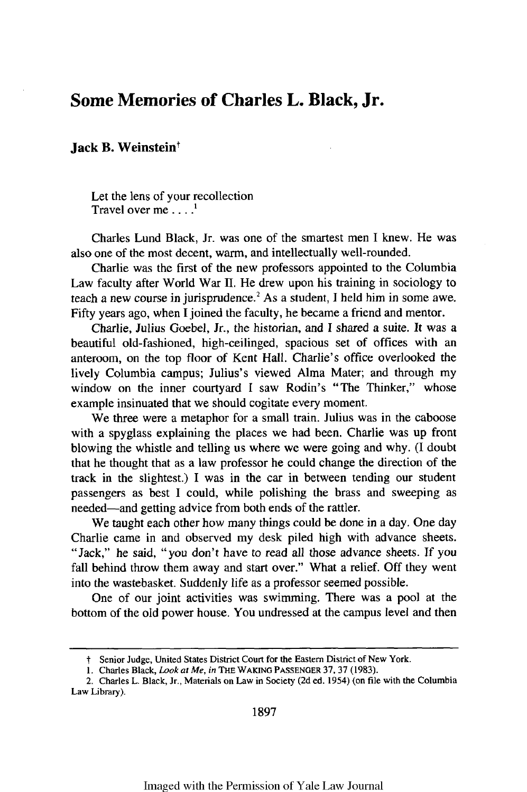## **Some Memories of Charles L. Black, Jr.**

## **Jack B. Weinstein<sup>t</sup>**

Let the lens of your recollection Travel over me  $\ldots$ <sup>1</sup>

Charles Lund Black, Jr. was one of the smartest men I knew. He was also one of the most decent, warm, and intellectually well-rounded.

Charlie was the first of the new professors appointed to the Columbia Law faculty after World War II. He drew upon his training in sociology to teach a new course in jurisprudence.<sup>2</sup> As a student, I held him in some awe. Fifty years ago, when I joined the faculty, he became a friend and mentor.

Charlie, Julius Goebel, Jr., the historian, and I shared a suite. It was a beautiful old-fashioned, high-ceilinged, spacious set of offices with an anteroom, on the top floor of Kent Hall. Charlie's office overlooked the lively Columbia campus; Julius's viewed Alma Mater; and through my window on the inner courtyard I saw Rodin's "The Thinker," whose example insinuated that we should cogitate every moment.

We three were a metaphor for a small train. Julius was in the caboose with a spyglass explaining the places we had been. Charlie was up front blowing the whistle and telling us where we were going and why. (I doubt that he thought that as a law professor he could change the direction of the track in the slightest.) I was in the car in between tending our student passengers as best I could, while polishing the brass and sweeping as needed-and getting advice from both ends of the rattler.

We taught each other how many things could be done in a day. One day Charlie came in and observed my desk piled high with advance sheets. "Jack," he said, "you don't have to read all those advance sheets. If you fall behind throw them away and start over." What a relief. Off they went into the wastebasket. Suddenly life as a professor seemed possible.

One of our joint activities was swimming. There was a pool at the bottom of the old power house. You undressed at the campus level and then

t Senior Judge, United States District Court for the Eastern District of New York.

**<sup>1.</sup>** Charles Black, Look *at* Me, in THE WAKING PASSENGER **37,** 37 **(1983).**

<sup>2.</sup> Charles L. Black, Jr., Materials on Law in Society (2d ed. 1954) (on file with the Columbia Law Library).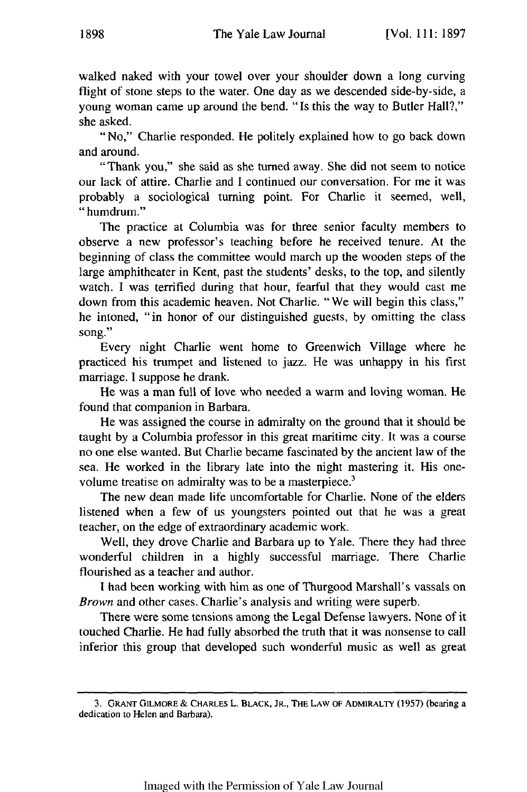walked naked with your towel over your shoulder down a long curving flight of stone steps to the water. One day as we descended side-by-side, a young woman came up around the bend. "Is this the way to Butler Hall?," she asked.

"No," Charlie responded. He politely explained how to go back down and around.

"Thank you," she said as she turned away. She did not seem to notice our lack of attire. Charlie and I continued our conversation. For me it was probably a sociological turning point. For Charlie it seemed, well, "humdrum."

The practice at Columbia was for three senior faculty members to observe a new professor's teaching before he received tenure. At the beginning of class the committee would march up the wooden steps of the large amphitheater in Kent, past the students' desks, to the top, and silently watch. I was terrified during that hour, fearful that they would cast me down from this academic heaven. Not Charlie. "We will begin this class," he intoned, "in honor of our distinguished guests, by omitting the class song."

Every night Charlie went home to Greenwich Village where he practiced his trumpet and listened to jazz. He was unhappy in his first marriage. I suppose he drank.

He was a man full of love who needed a warm and loving woman. He found that companion in Barbara.

He was assigned the course in admiralty on the ground that it should be taught by a Columbia professor in this great maritime city. It was a course no one else wanted. But Charlie became fascinated by the ancient law of the sea. He worked in the library late into the night mastering it. His onevolume treatise on admiralty was to be a masterpiece.<sup>3</sup>

The new dean made life uncomfortable for Charlie. None of the elders listened when a few of us youngsters pointed out that he was a great teacher, on the edge of extraordinary academic work.

Well, they drove Charlie and Barbara up to Yale. There they had three wonderful children in a highly successful marriage. There Charlie flourished as a teacher and author.

I had been working with him as one of Thurgood Marshall's vassals on *Brown* and other cases. Charlie's analysis and writing were superb.

There were some tensions among the Legal Defense lawyers. None of it touched Charlie. He had fully absorbed the truth that it was nonsense to call inferior this group that developed such wonderful music as well as great

<sup>3.</sup> GRANT GILMORE **& CHARLES** L. BLACK, JR., **THE LAW OF** ADMIRALTY (1957) (bearing a dedication **to** Helen and Barbara).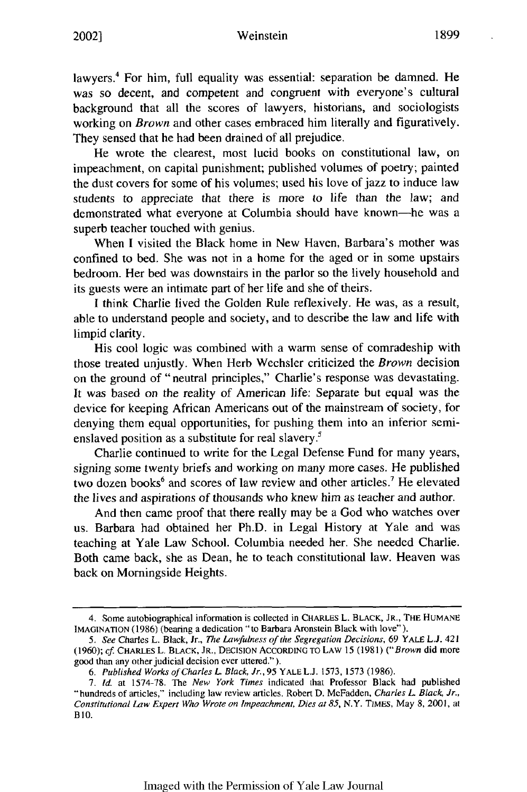## Weinstein **1899** 2002]

lawyers.<sup>4</sup> For him, full equality was essential: separation be damned. He was so decent, and competent and congruent with everyone's cultural background that all the scores of lawyers, historians, and sociologists working on *Brown* and other cases embraced him literally and figuratively. They sensed that he had been drained of all prejudice.

He wrote the clearest, most lucid books on constitutional law, on impeachment, on capital punishment; published volumes of poetry; painted the dust covers for some of his volumes; used his love of jazz to induce law students to appreciate that there is more to life than the law; and demonstrated what everyone at Columbia should have known-he was a superb teacher touched with genius.

When I visited the Black home in New Haven, Barbara's mother was confined to bed. She was not in a home for the aged or in some upstairs bedroom. Her bed was downstairs in the parlor so the lively household and its guests were an intimate part of her life and she of theirs.

I think Charlie lived the Golden Rule reflexively. He was, as a result, able to understand people and society, and to describe the law and life with limpid clarity.

His cool logic was combined with a warm sense of comradeship with those treated unjustly. When Herb Wechsler criticized the *Brown* decision on the ground of "neutral principles," Charlie's response was devastating. It was based on the reality of American life: Separate but equal was the device for keeping African Americans out of the mainstream of society, for denying them equal opportunities, for pushing them into an inferior semienslaved position as a substitute for real slavery.<sup>5</sup>

Charlie continued to write for the Legal Defense Fund for many years, signing some twenty briefs and working on many more cases. He published two dozen books<sup>6</sup> and scores of law review and other articles.<sup>7</sup> He elevated the lives and aspirations of thousands who knew him as teacher and author.

And then came proof that there really may be a God who watches over us. Barbara had obtained her Ph.D. in Legal History at Yale and was teaching at Yale Law School. Columbia needed her. She needed Charlie. Both came back, she as Dean, he to teach constitutional law. Heaven was back on Morningside Heights.

<sup>4.</sup> Some autobiographical information is collected in CHARLES L. **BLACK, JR., THE HUMANE IMAGINATION (1986)** (bearing a dedication "to Barbara Aronstein Black with love").

**<sup>5.</sup>** See Charles L. Black, Jr., The Lawfulness of the *Segregation Decisions,* 69 YALE **L.J.** 421 (1960); *cf* CHARLES L. BLACK, JR., DECISION ACCORDING TO LAW 15 (1981) ("Brown did more good than any other judicial decision ever uttered.").

*<sup>6.</sup>* Published Works of Charles L Black, *Jr.,* 95 YALE L.J. 1573, 1573 (1986).

<sup>7.</sup> *Id.* at 1574-78. The *New York Times* indicated that Professor Black had published "hundreds of articles," including law review articles. Robert D. McFadden, *Charles L Black, Jr., Constitutional Law Expert Who Wrote on Impeachment, Dies at 85,* N.Y. *TIMES,* May **8,** 2001, at **BI0.**